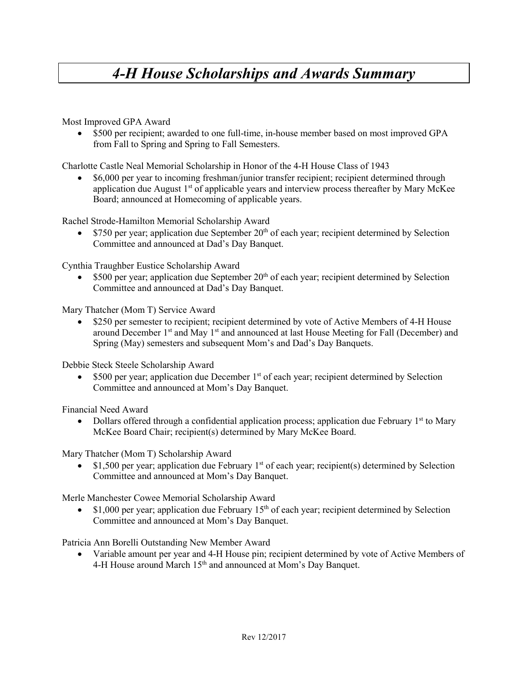## *4-H House Scholarships and Awards Summary*

Most Improved GPA Award

• \$500 per recipient; awarded to one full-time, in-house member based on most improved GPA from Fall to Spring and Spring to Fall Semesters.

Charlotte Castle Neal Memorial Scholarship in Honor of the 4-H House Class of 1943

• \$6,000 per year to incoming freshman/junior transfer recipient; recipient determined through application due August  $1<sup>st</sup>$  of applicable years and interview process thereafter by Mary McKee Board; announced at Homecoming of applicable years.

Rachel Strode-Hamilton Memorial Scholarship Award

• \$750 per year; application due September  $20<sup>th</sup>$  of each year; recipient determined by Selection Committee and announced at Dad's Day Banquet.

Cynthia Traughber Eustice Scholarship Award

• \$500 per year; application due September  $20<sup>th</sup>$  of each year; recipient determined by Selection Committee and announced at Dad's Day Banquet.

Mary Thatcher (Mom T) Service Award

• \$250 per semester to recipient; recipient determined by vote of Active Members of 4-H House around December  $1<sup>st</sup>$  and May  $1<sup>st</sup>$  and announced at last House Meeting for Fall (December) and Spring (May) semesters and subsequent Mom's and Dad's Day Banquets.

Debbie Steck Steele Scholarship Award

• \$500 per year; application due December  $1<sup>st</sup>$  of each year; recipient determined by Selection Committee and announced at Mom's Day Banquet.

Financial Need Award

• Dollars offered through a confidential application process; application due February  $1<sup>st</sup>$  to Mary McKee Board Chair; recipient(s) determined by Mary McKee Board.

Mary Thatcher (Mom T) Scholarship Award

\$1,500 per year; application due February 1<sup>st</sup> of each year; recipient(s) determined by Selection Committee and announced at Mom's Day Banquet.

Merle Manchester Cowee Memorial Scholarship Award

•  $$1,000$  per year; application due February 15<sup>th</sup> of each year; recipient determined by Selection Committee and announced at Mom's Day Banquet.

Patricia Ann Borelli Outstanding New Member Award

• Variable amount per year and 4-H House pin; recipient determined by vote of Active Members of 4-H House around March 15<sup>th</sup> and announced at Mom's Day Banquet.